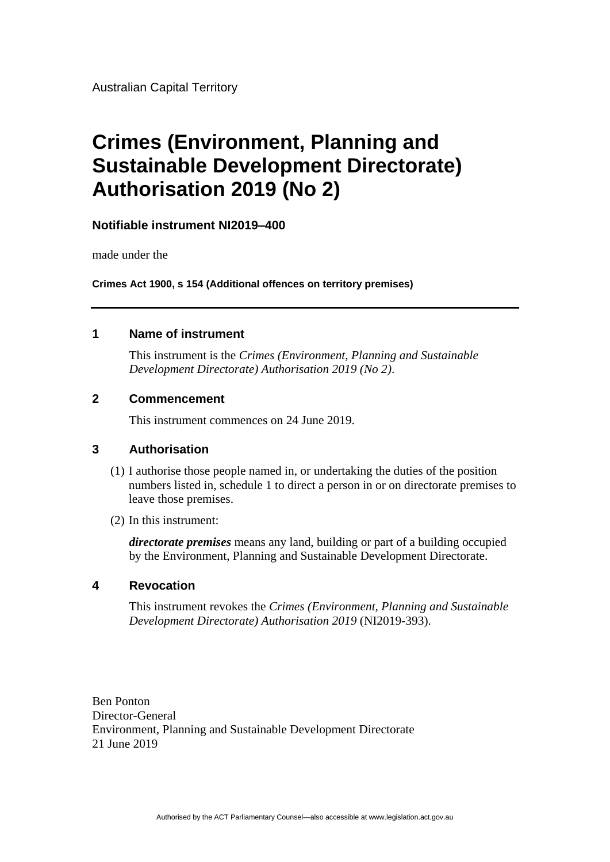Australian Capital Territory

# **Crimes (Environment, Planning and Sustainable Development Directorate) Authorisation 2019 (No 2)**

### **Notifiable instrument NI2019–400**

made under the

**Crimes Act 1900, s 154 (Additional offences on territory premises)**

#### **1 Name of instrument**

This instrument is the *Crimes (Environment, Planning and Sustainable Development Directorate) Authorisation 2019 (No 2)*.

#### **2 Commencement**

This instrument commences on 24 June 2019.

#### **3 Authorisation**

- (1) I authorise those people named in, or undertaking the duties of the position numbers listed in, schedule 1 to direct a person in or on directorate premises to leave those premises.
- (2) In this instrument:

*directorate premises* means any land, building or part of a building occupied by the Environment, Planning and Sustainable Development Directorate.

#### **4 Revocation**

This instrument revokes the *Crimes (Environment, Planning and Sustainable Development Directorate) Authorisation 2019* (NI2019-393).

Ben Ponton Director-General Environment, Planning and Sustainable Development Directorate 21 June 2019